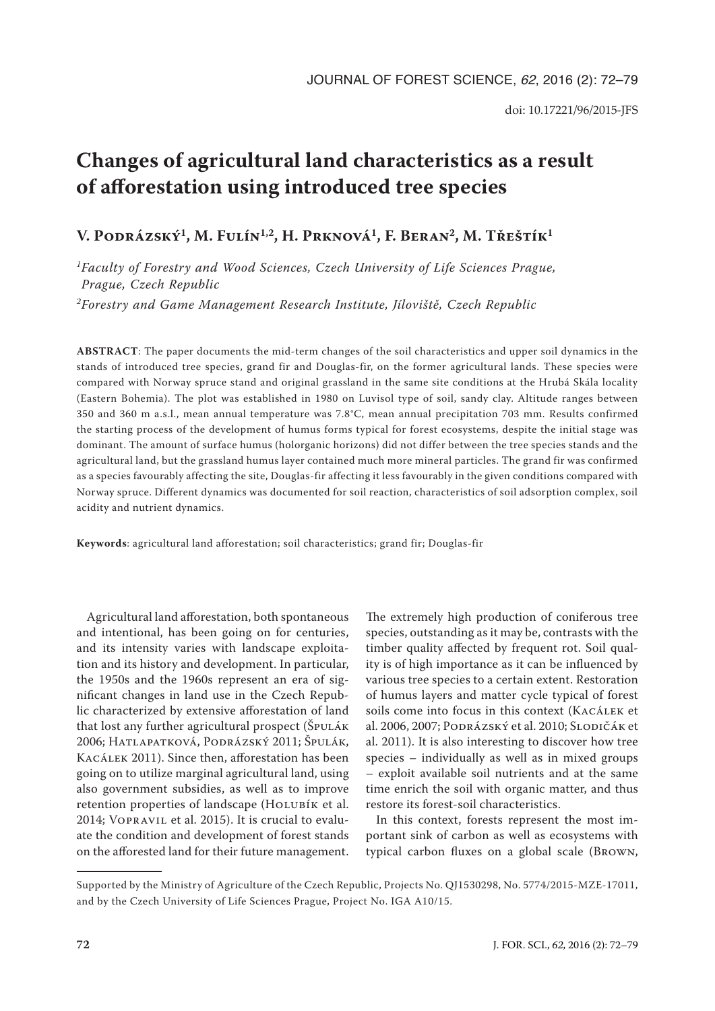# **Changes of agricultural land characteristics as a result of afforestation using introduced tree species**

## V. Podrázský<sup>1</sup>, M. Fulín<sup>1,2</sup>, H. Prknová<sup>1</sup>, F. Beran<sup>2</sup>, M. Třeštík<sup>1</sup>

*1Faculty of Forestry and Wood Sciences, Czech University of Life Sciences Prague, Prague, Czech Republic* 

*2Forestry and Game Management Research Institute, Jíloviště, Czech Republic*

**ABSTRACT**: The paper documents the mid-term changes of the soil characteristics and upper soil dynamics in the stands of introduced tree species, grand fir and Douglas-fir, on the former agricultural lands. These species were compared with Norway spruce stand and original grassland in the same site conditions at the Hrubá Skála locality (Eastern Bohemia). The plot was established in 1980 on Luvisol type of soil, sandy clay. Altitude ranges between 350 and 360 m a.s.l., mean annual temperature was 7.8°C, mean annual precipitation 703 mm. Results confirmed the starting process of the development of humus forms typical for forest ecosystems, despite the initial stage was dominant. The amount of surface humus (holorganic horizons) did not differ between the tree species stands and the agricultural land, but the grassland humus layer contained much more mineral particles. The grand fir was confirmed as a species favourably affecting the site, Douglas-fir affecting it less favourably in the given conditions compared with Norway spruce. Different dynamics was documented for soil reaction, characteristics of soil adsorption complex, soil acidity and nutrient dynamics.

**Keywords**: agricultural land afforestation; soil characteristics; grand fir; Douglas-fir

Agricultural land afforestation, both spontaneous and intentional, has been going on for centuries, and its intensity varies with landscape exploitation and its history and development. In particular, the 1950s and the 1960s represent an era of significant changes in land use in the Czech Republic characterized by extensive afforestation of land that lost any further agricultural prospect (Špulák 2006; Hatlapatková, Podrázský 2011; Špulák, Kacálek 2011). Since then, afforestation has been going on to utilize marginal agricultural land, using also government subsidies, as well as to improve retention properties of landscape (HOLUBÍK et al. 2014; Vopravil et al. 2015). It is crucial to evaluate the condition and development of forest stands on the afforested land for their future management.

The extremely high production of coniferous tree species, outstanding as it may be, contrasts with the timber quality affected by frequent rot. Soil quality is of high importance as it can be influenced by various tree species to a certain extent. Restoration of humus layers and matter cycle typical of forest soils come into focus in this context (Kacálek et al. 2006, 2007; Podrázský et al. 2010; Slodičák et al. 2011). It is also interesting to discover how tree species – individually as well as in mixed groups – exploit available soil nutrients and at the same time enrich the soil with organic matter, and thus restore its forest-soil characteristics.

In this context, forests represent the most important sink of carbon as well as ecosystems with typical carbon fluxes on a global scale (Brown,

Supported by the Ministry of Agriculture of the Czech Republic, Projects No. QJ1530298, No. 5774/2015-MZE-17011, and by the Czech University of Life Sciences Prague, Project No. IGA A10/15.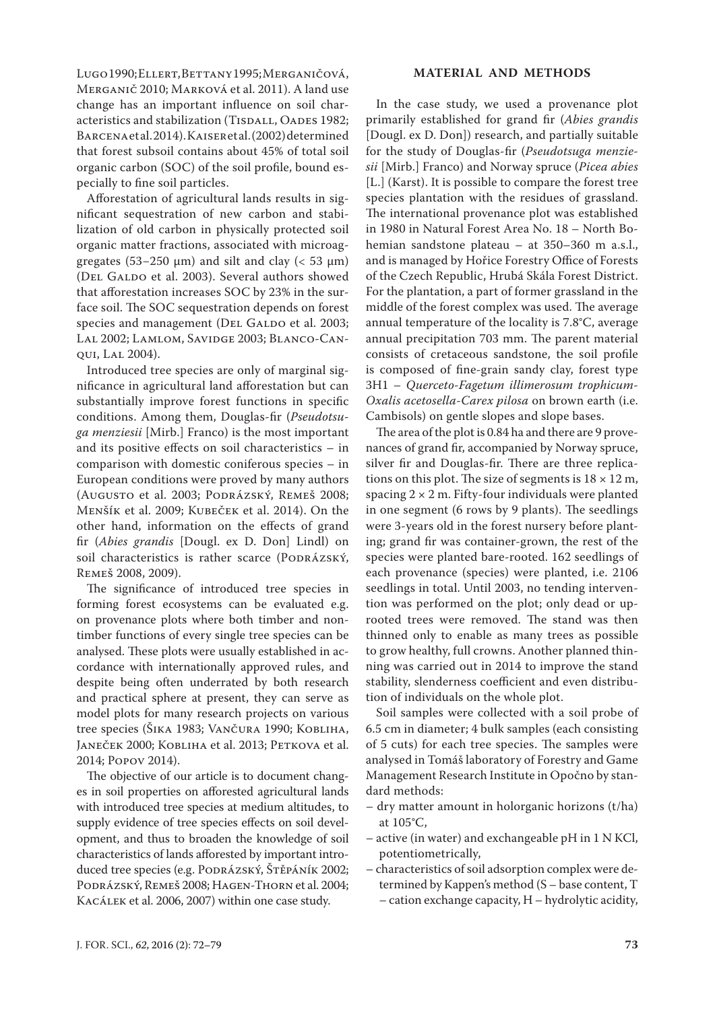Lugo 1990; Ellert, Bettany 1995; Merganičová, Merganič 2010; Marková et al. 2011). A land use change has an important influence on soil characteristics and stabilization (TISDALL, OADES 1982; Barcena et al. 2014). Kaiser et al. (2002) determined that forest subsoil contains about 45% of total soil organic carbon (SOC) of the soil profile, bound especially to fine soil particles.

Afforestation of agricultural lands results in significant sequestration of new carbon and stabilization of old carbon in physically protected soil organic matter fractions, associated with microaggregates (53–250  $\mu$ m) and silt and clay (< 53  $\mu$ m) (DEL GALDO et al. 2003). Several authors showed that afforestation increases SOC by 23% in the surface soil. The SOC sequestration depends on forest species and management (DEL GALDO et al. 2003; Lal 2002; Lamlom, Savidge 2003; Blanco-Canqui, Lal 2004).

Introduced tree species are only of marginal significance in agricultural land afforestation but can substantially improve forest functions in specific conditions. Among them, Douglas-fir (*Pseudotsuga menziesii* [Mirb.] Franco) is the most important and its positive effects on soil characteristics – in comparison with domestic coniferous species – in European conditions were proved by many authors (Augusto et al. 2003; Podrázský, Remeš 2008; Menšík et al. 2009; Kubeček et al. 2014). On the other hand, information on the effects of grand fir (*Abies grandis* [Dougl. ex D. Don] Lindl) on soil characteristics is rather scarce (PODRÁZSKÝ, Remeš 2008, 2009).

The significance of introduced tree species in forming forest ecosystems can be evaluated e.g. on provenance plots where both timber and nontimber functions of every single tree species can be analysed. These plots were usually established in accordance with internationally approved rules, and despite being often underrated by both research and practical sphere at present, they can serve as model plots for many research projects on various tree species (Šika 1983; Vančura 1990; Kobliha, JANEČEK 2000; KOBLIHA et al. 2013; PETKOVA et al. 2014; Popov 2014).

The objective of our article is to document changes in soil properties on afforested agricultural lands with introduced tree species at medium altitudes, to supply evidence of tree species effects on soil development, and thus to broaden the knowledge of soil characteristics of lands afforested by important introduced tree species (e.g. PODRÁZSKÝ, ŠTĚPÁNÍK 2002; Podrázský, Remeš 2008; Hagen-Thorn et al. 2004; Kacálek et al. 2006, 2007) within one case study.

### **MATERIAL AND METHODS**

In the case study, we used a provenance plot primarily established for grand fir (*Abies grandis*  [Dougl. ex D. Don]) research, and partially suitable for the study of Douglas-fir (*Pseudotsuga menziesii* [Mirb.] Franco) and Norway spruce (*Picea abies*  [L.] (Karst). It is possible to compare the forest tree species plantation with the residues of grassland. The international provenance plot was established in 1980 in Natural Forest Area No. 18 – North Bohemian sandstone plateau – at 350–360 m a.s.l., and is managed by Hořice Forestry Office of Forests of the Czech Republic, Hrubá Skála Forest District. For the plantation, a part of former grassland in the middle of the forest complex was used. The average annual temperature of the locality is 7.8°C, average annual precipitation 703 mm. The parent material consists of cretaceous sandstone, the soil profile is composed of fine-grain sandy clay, forest type 3H1 – *Querceto-Fagetum illimerosum trophicum*-*Oxalis acetosella-Carex pilosa* on brown earth (i.e. Cambisols) on gentle slopes and slope bases.

The area of the plot is 0.84 ha and there are 9 provenances of grand fir, accompanied by Norway spruce, silver fir and Douglas-fir. There are three replications on this plot. The size of segments is  $18 \times 12$  m, spacing  $2 \times 2$  m. Fifty-four individuals were planted in one segment (6 rows by 9 plants). The seedlings were 3-years old in the forest nursery before planting; grand fir was container-grown, the rest of the species were planted bare-rooted. 162 seedlings of each provenance (species) were planted, i.e. 2106 seedlings in total. Until 2003, no tending intervention was performed on the plot; only dead or uprooted trees were removed. The stand was then thinned only to enable as many trees as possible to grow healthy, full crowns. Another planned thinning was carried out in 2014 to improve the stand stability, slenderness coefficient and even distribution of individuals on the whole plot.

Soil samples were collected with a soil probe of 6.5 cm in diameter; 4 bulk samples (each consisting of 5 cuts) for each tree species. The samples were analysed in Tomáš laboratory of Forestry and Game Management Research Institute in Opočno by standard methods:

- dry matter amount in holorganic horizons (t/ha) at 105°C,
- active (in water) and exchangeable pH in 1 N KCl, potentiometrically,
- characteristics of soil adsorption complex were determined by Kappen's method (S – base content, T – cation exchange capacity, H – hydrolytic acidity,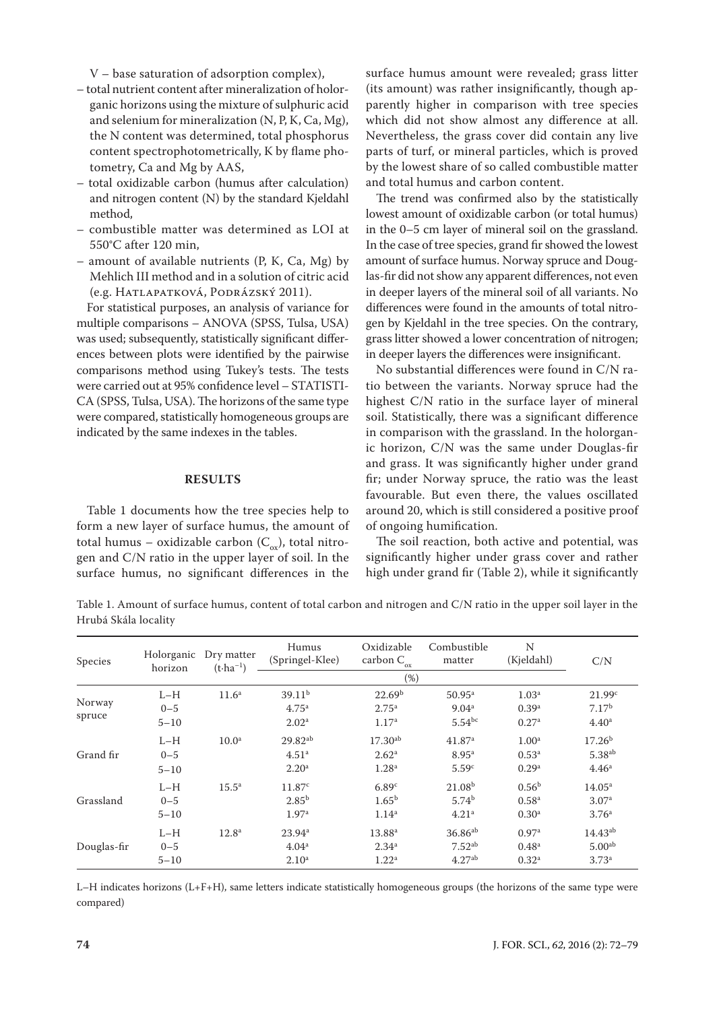V – base saturation of adsorption complex),

- total nutrient content after mineralization of holorganic horizons using the mixture of sulphuric acid and selenium for mineralization (N, P, K, Ca, Mg), the N content was determined, total phosphorus content spectrophotometrically, K by flame photometry, Ca and Mg by AAS,
- total oxidizable carbon (humus after calculation) and nitrogen content (N) by the standard Kjeldahl method,
- combustible matter was determined as LOI at 550°C after 120 min,
- amount of available nutrients (P, K, Ca, Mg) by Mehlich III method and in a solution of citric acid (e.g. Hatlapatková, Podrázský 2011).

For statistical purposes, an analysis of variance for multiple comparisons – ANOVA (SPSS, Tulsa, USA) was used; subsequently, statistically significant differences between plots were identified by the pairwise comparisons method using Tukey's tests. The tests were carried out at 95% confidence level – STATISTI-CA (SPSS, Tulsa, USA). The horizons of the same type were compared, statistically homogeneous groups are indicated by the same indexes in the tables.

#### **RESULTS**

Table 1 documents how the tree species help to form a new layer of surface humus, the amount of total humus – oxidizable carbon  $(C_{\text{ox}})$ , total nitrogen and C/N ratio in the upper layer of soil. In the surface humus, no significant differences in the

surface humus amount were revealed; grass litter (its amount) was rather insignificantly, though apparently higher in comparison with tree species which did not show almost any difference at all. Nevertheless, the grass cover did contain any live parts of turf, or mineral particles, which is proved by the lowest share of so called combustible matter and total humus and carbon content.

The trend was confirmed also by the statistically lowest amount of oxidizable carbon (or total humus) in the 0–5 cm layer of mineral soil on the grassland. In the case of tree species, grand fir showed the lowest amount of surface humus. Norway spruce and Douglas-fir did not show any apparent differences, not even in deeper layers of the mineral soil of all variants. No differences were found in the amounts of total nitrogen by Kjeldahl in the tree species. On the contrary, grass litter showed a lower concentration of nitrogen; in deeper layers the differences were insignificant.

No substantial differences were found in C/N ratio between the variants. Norway spruce had the highest C/N ratio in the surface layer of mineral soil. Statistically, there was a significant difference in comparison with the grassland. In the holorganic horizon, C/N was the same under Douglas-fir and grass. It was significantly higher under grand fir; under Norway spruce, the ratio was the least favourable. But even there, the values oscillated around 20, which is still considered a positive proof of ongoing humification.

The soil reaction, both active and potential, was significantly higher under grass cover and rather high under grand fir (Table 2), while it significantly

Table 1. Amount of surface humus, content of total carbon and nitrogen and C/N ratio in the upper soil layer in the Hrubá Skála locality

| Species     | Holorganic<br>horizon | Dry matter<br>$(t$ -ha <sup>-1</sup> ) | Humus<br>(Springel-Klee) | Oxidizable<br>carbon $C_{ox}$ | Combustible<br>matter | N<br>(Kjeldahl)   | C/N                |
|-------------|-----------------------|----------------------------------------|--------------------------|-------------------------------|-----------------------|-------------------|--------------------|
|             |                       |                                        |                          |                               |                       |                   |                    |
|             | $L-H$                 | 11.6 <sup>a</sup>                      | 39.11 <sup>b</sup>       | 22.69 <sup>b</sup>            | $50.95^{\text{a}}$    | 1.03 <sup>a</sup> | 21.99 <sup>c</sup> |
| Norway      | $0 - 5$               |                                        | 4.75 <sup>a</sup>        | 2.75 <sup>a</sup>             | 9.04 <sup>a</sup>     | 0.39 <sup>a</sup> | 7.17 <sup>b</sup>  |
| spruce      | $5 - 10$              |                                        | 2.02 <sup>a</sup>        | 1.17 <sup>a</sup>             | $5.54^{bc}$           | 0.27 <sup>a</sup> | 4.40 <sup>a</sup>  |
| Grand fir   | $L-H$                 | 10.0 <sup>a</sup>                      | $29.82^{ab}$             | $17.30^{ab}$                  | 41.87 <sup>a</sup>    | 1.00 <sup>a</sup> | 17.26 <sup>b</sup> |
|             | $0 - 5$               |                                        | 4.51 <sup>a</sup>        | 2.62 <sup>a</sup>             | 8.95 <sup>a</sup>     | 0.53 <sup>a</sup> | 5.38 <sup>ab</sup> |
|             | $5 - 10$              |                                        | 2.20 <sup>a</sup>        | 1.28 <sup>a</sup>             | 5.59 <sup>c</sup>     | 0.29 <sup>a</sup> | 4.46 <sup>a</sup>  |
| Grassland   | $L-H$                 | 15.5 <sup>a</sup>                      | 11.87c                   | 6.89c                         | 21.08 <sup>b</sup>    | 0.56 <sup>b</sup> | $14.05^{\circ}$    |
|             | $0 - 5$               |                                        | $2.85^{b}$               | $1.65^{b}$                    | 5.74 <sup>b</sup>     | 0.58 <sup>a</sup> | 3.07 <sup>a</sup>  |
|             | $5 - 10$              |                                        | 1.97 <sup>a</sup>        | 1.14 <sup>a</sup>             | 4.21 <sup>a</sup>     | 0.30 <sup>a</sup> | 3.76 <sup>a</sup>  |
| Douglas-fir | $L-H$                 | 12.8 <sup>a</sup>                      | $23.94^a$                | 13.88 <sup>a</sup>            | $36.86$ <sup>ab</sup> | 0.97a             | $14.43^{ab}$       |
|             | $0 - 5$               |                                        | 4.04 <sup>a</sup>        | 2.34 <sup>a</sup>             | 7.52 <sup>ab</sup>    | 0.48 <sup>a</sup> | 5.00 <sup>ab</sup> |
|             | $5 - 10$              |                                        | 2.10 <sup>a</sup>        | 1.22 <sup>a</sup>             | 4.27 <sup>ab</sup>    | 0.32 <sup>a</sup> | 3.73 <sup>a</sup>  |

L–H indicates horizons (L+F+H), same letters indicate statistically homogeneous groups (the horizons of the same type were compared)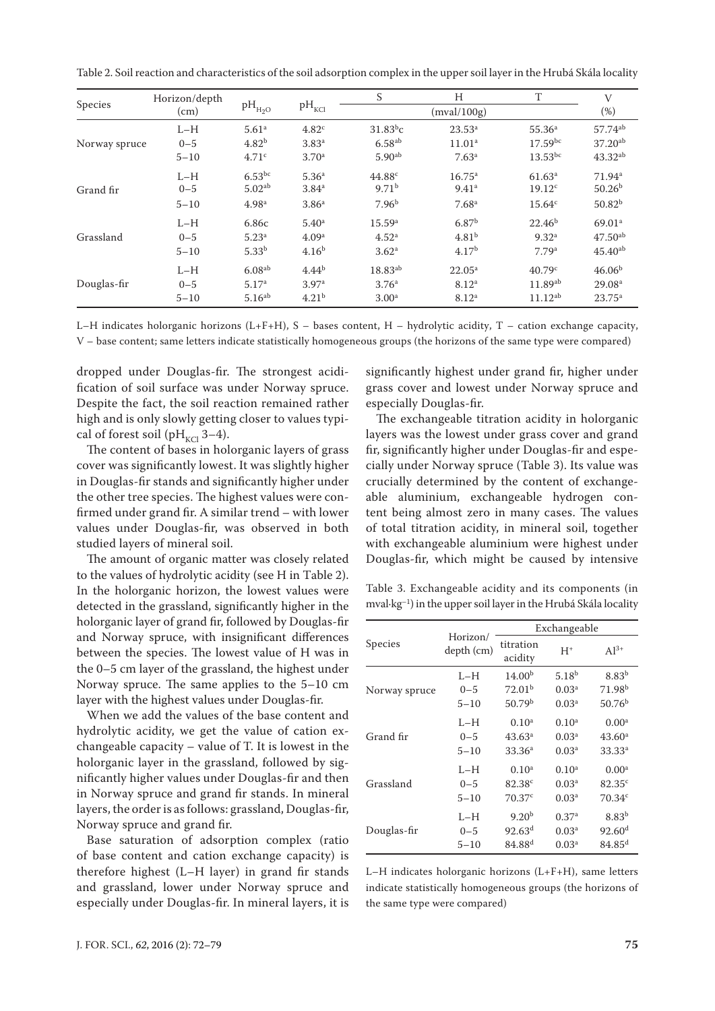Table 2. Soil reaction and characteristics of the soil adsorption complex in the upper soil layer in the Hrubá Skála locality

| Species       | Horizon/depth | $pH_{H_2O}$          | $\rm{pH}_{\rm{KCl}}$ | S                  | H                  | T                     | V                   |
|---------------|---------------|----------------------|----------------------|--------------------|--------------------|-----------------------|---------------------|
|               | (cm)          |                      |                      |                    | $(\%)$             |                       |                     |
|               | $L-H$         | 5.61 <sup>a</sup>    | 4.82 <sup>c</sup>    | $31.83^{b}c$       | $23.53^a$          | 55.36 <sup>a</sup>    | 57.74 <sup>ab</sup> |
| Norway spruce | $0 - 5$       | 4.82 <sup>b</sup>    | 3.83 <sup>a</sup>    | 6.58 <sup>ab</sup> | 11.01 <sup>a</sup> | $17.59^{bc}$          | $37.20^{ab}$        |
|               | $5 - 10$      | 4.71 <sup>c</sup>    | 3.70 <sup>a</sup>    | 5.90 <sup>ab</sup> | 7.63 <sup>a</sup>  | $13.53^{bc}$          | $43.32^{ab}$        |
| Grand fir     | $L-H$         | $6.53$ <sup>bc</sup> | 5.36 <sup>a</sup>    | 44.88 <sup>c</sup> | $16.75^{\circ}$    | 61.63 <sup>a</sup>    | 71.94 <sup>a</sup>  |
|               | $0 - 5$       | 5.02 <sup>ab</sup>   | 3.84 <sup>a</sup>    | 9.71 <sup>b</sup>  | 9.41 <sup>a</sup>  | 19.12 <sup>c</sup>    | 50.26 <sup>b</sup>  |
|               | $5 - 10$      | 4.98 <sup>a</sup>    | 3.86 <sup>a</sup>    | 7.96 <sup>b</sup>  | 7.68 <sup>a</sup>  | 15.64 <sup>c</sup>    | $50.82^{b}$         |
|               | $L-H$         | 6.86c                | 5.40 <sup>a</sup>    | 15.59a             | 6.87 <sup>b</sup>  | 22.46 <sup>b</sup>    | 69.01 <sup>a</sup>  |
| Grassland     | $0 - 5$       | 5.23 <sup>a</sup>    | 4.09 <sup>a</sup>    | 4.52 <sup>a</sup>  | 4.81 <sup>b</sup>  | 9.32 <sup>a</sup>     | $47.50^{ab}$        |
|               | $5 - 10$      | 5.33 <sup>b</sup>    | 4.16 <sup>b</sup>    | 3.62 <sup>a</sup>  | 4.17 <sup>b</sup>  | 7.79 <sup>a</sup>     | $45.40^{ab}$        |
| Douglas-fir   | $L-H$         | 6.08 <sup>ab</sup>   | $4.44^{b}$           | $18.83^{ab}$       | $22.05^a$          | 40.79c                | 46.06 <sup>b</sup>  |
|               | $0 - 5$       | 5.17 <sup>a</sup>    | 3.97 <sup>a</sup>    | 3.76 <sup>a</sup>  | 8.12 <sup>a</sup>  | $11.89$ <sup>ab</sup> | 29.08 <sup>a</sup>  |
|               | $5 - 10$      | 5.16 <sup>ab</sup>   | 4.21 <sup>b</sup>    | 3.00 <sup>a</sup>  | 8.12 <sup>a</sup>  | $11.12^{ab}$          | $23.75^a$           |

L–H indicates holorganic horizons (L+F+H), S – bases content, H – hydrolytic acidity, T – cation exchange capacity, V – base content; same letters indicate statistically homogeneous groups (the horizons of the same type were compared)

dropped under Douglas-fir. The strongest acidification of soil surface was under Norway spruce. Despite the fact, the soil reaction remained rather high and is only slowly getting closer to values typical of forest soil (pH<sub>KCl</sub> 3–4).

The content of bases in holorganic layers of grass cover was significantly lowest. It was slightly higher in Douglas-fir stands and significantly higher under the other tree species. The highest values were confirmed under grand fir. A similar trend – with lower values under Douglas-fir, was observed in both studied layers of mineral soil.

The amount of organic matter was closely related to the values of hydrolytic acidity (see H in Table 2). In the holorganic horizon, the lowest values were detected in the grassland, significantly higher in the holorganic layer of grand fir, followed by Douglas-fir and Norway spruce, with insignificant differences between the species. The lowest value of H was in the 0–5 cm layer of the grassland, the highest under Norway spruce. The same applies to the 5–10 cm layer with the highest values under Douglas-fir.

When we add the values of the base content and hydrolytic acidity, we get the value of cation exchangeable capacity – value of T. It is lowest in the holorganic layer in the grassland, followed by significantly higher values under Douglas-fir and then in Norway spruce and grand fir stands. In mineral layers, the order is as follows: grassland, Douglas-fir, Norway spruce and grand fir.

Base saturation of adsorption complex (ratio of base content and cation exchange capacity) is therefore highest (L–H layer) in grand fir stands and grassland, lower under Norway spruce and especially under Douglas-fir. In mineral layers, it is significantly highest under grand fir, higher under grass cover and lowest under Norway spruce and especially Douglas-fir.

The exchangeable titration acidity in holorganic layers was the lowest under grass cover and grand fir, significantly higher under Douglas-fir and especially under Norway spruce (Table 3). Its value was crucially determined by the content of exchangeable aluminium, exchangeable hydrogen content being almost zero in many cases. The values of total titration acidity, in mineral soil, together with exchangeable aluminium were highest under Douglas-fir, which might be caused by intensive

Table 3. Exchangeable acidity and its components (in mval·kg–1) in the upper soil layer in the Hrubá Skála locality

|                |                        | Exchangeable         |                   |                      |  |
|----------------|------------------------|----------------------|-------------------|----------------------|--|
| <b>Species</b> | Horizon/<br>depth (cm) | titration<br>acidity | $H^+$             | $Al^{3+}$            |  |
| Norway spruce  | $L-H$                  | 14.00 <sup>b</sup>   | 5.18 <sup>b</sup> | 8.83 <sup>b</sup>    |  |
|                | $0 - 5$                | 72.01 <sup>b</sup>   | 0.03 <sup>a</sup> | 71.98 <sup>b</sup>   |  |
|                | $5 - 10$               | 50.79 <sup>b</sup>   | 0.03 <sup>a</sup> | 50.76 <sup>b</sup>   |  |
| Grand fir      | $L-H$                  | 0.10 <sup>a</sup>    | 0.10 <sup>a</sup> | 0.00 <sup>a</sup>    |  |
|                | $0 - 5$                | $43.63^{\circ}$      | 0.03 <sup>a</sup> | 43.60 <sup>a</sup>   |  |
|                | $5 - 10$               | 33.36 <sup>a</sup>   | 0.03 <sup>a</sup> | $33.33^a$            |  |
| Grassland      | $L-H$                  | 0.10 <sup>a</sup>    | 0.10 <sup>a</sup> | 0.00 <sup>a</sup>    |  |
|                | $0 - 5$                | 82.38 <sup>c</sup>   | 0.03 <sup>a</sup> | 82.35c               |  |
|                | $5 - 10$               | 70.37c               | 0.03 <sup>a</sup> | 70.34c               |  |
| Douglas-fir    | $L-H$                  | 9.20 <sup>b</sup>    | 0.37 <sup>a</sup> | 8.83 <sup>b</sup>    |  |
|                | $0 - 5$                | 92.63 <sup>d</sup>   | 0.03 <sup>a</sup> | 92.60 <sup>d</sup>   |  |
|                | $5 - 10$               | 84.88 <sup>d</sup>   | 0.03 <sup>a</sup> | $84.85$ <sup>d</sup> |  |

L–H indicates holorganic horizons (L+F+H), same letters indicate statistically homogeneous groups (the horizons of the same type were compared)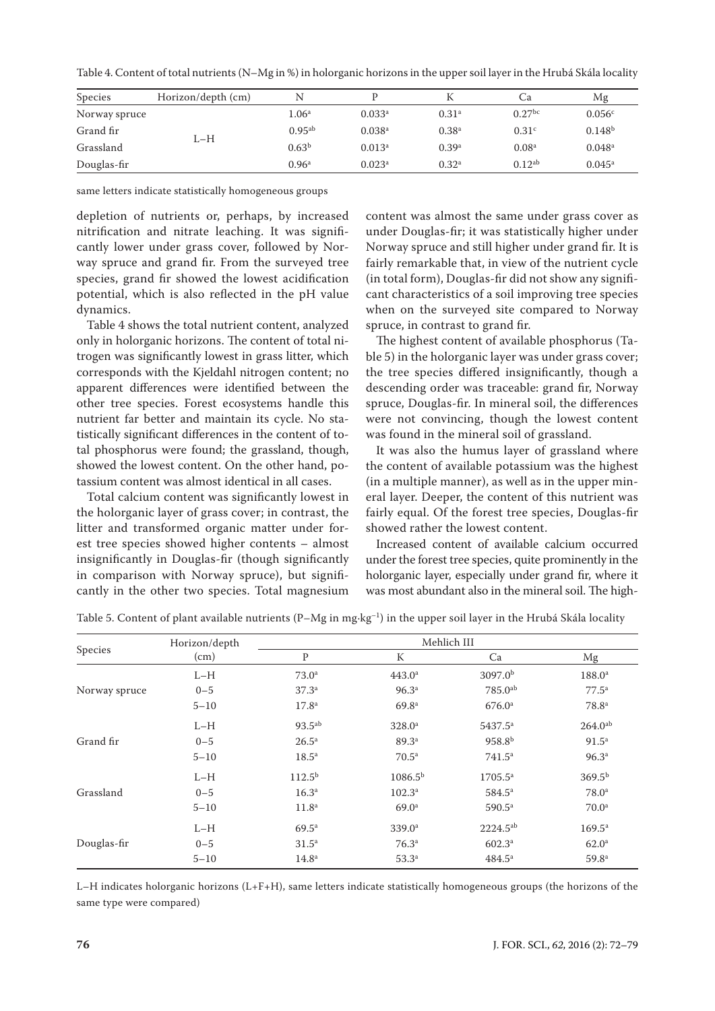| Table 4. Content of total nutrients (N-Mg in %) in holorganic horizons in the upper soil layer in the Hrubá Skála locality |  |  |  |  |
|----------------------------------------------------------------------------------------------------------------------------|--|--|--|--|
|----------------------------------------------------------------------------------------------------------------------------|--|--|--|--|

| Species       | Horizon/depth (cm) |                   |                      |                   | Ćа                 | Mg                   |
|---------------|--------------------|-------------------|----------------------|-------------------|--------------------|----------------------|
| Norway spruce |                    | $1.06^{\rm a}$    | 0.033 <sup>a</sup>   | 0.31 <sup>a</sup> | 0.27 <sup>bc</sup> | 0.056 <sup>c</sup>   |
| Grand fir     |                    | $0.95^{ab}$       | $0.038$ <sup>a</sup> | 0.38 <sup>a</sup> | 0.31 <sup>c</sup>  | 0.148 <sup>b</sup>   |
| Grassland     | L-H                | 0.63 <sup>b</sup> | $0.013^a$            | 0.39 <sup>a</sup> | 0.08 <sup>a</sup>  | $0.048$ <sup>a</sup> |
| Douglas-fir   |                    | 0.96 <sup>a</sup> | 0.023 <sup>a</sup>   | 0.32 <sup>a</sup> | $0.12^{ab}$        | $0.045^{\rm a}$      |

same letters indicate statistically homogeneous groups

depletion of nutrients or, perhaps, by increased nitrification and nitrate leaching. It was significantly lower under grass cover, followed by Norway spruce and grand fir. From the surveyed tree species, grand fir showed the lowest acidification potential, which is also reflected in the pH value dynamics.

Table 4 shows the total nutrient content, analyzed only in holorganic horizons. The content of total nitrogen was significantly lowest in grass litter, which corresponds with the Kjeldahl nitrogen content; no apparent differences were identified between the other tree species. Forest ecosystems handle this nutrient far better and maintain its cycle. No statistically significant differences in the content of total phosphorus were found; the grassland, though, showed the lowest content. On the other hand, potassium content was almost identical in all cases.

Total calcium content was significantly lowest in the holorganic layer of grass cover; in contrast, the litter and transformed organic matter under forest tree species showed higher contents – almost insignificantly in Douglas-fir (though significantly in comparison with Norway spruce), but significantly in the other two species. Total magnesium

content was almost the same under grass cover as under Douglas-fir; it was statistically higher under Norway spruce and still higher under grand fir. It is fairly remarkable that, in view of the nutrient cycle (in total form), Douglas-fir did not show any significant characteristics of a soil improving tree species when on the surveyed site compared to Norway spruce, in contrast to grand fir.

The highest content of available phosphorus (Table 5) in the holorganic layer was under grass cover; the tree species differed insignificantly, though a descending order was traceable: grand fir, Norway spruce, Douglas-fir. In mineral soil, the differences were not convincing, though the lowest content was found in the mineral soil of grassland.

It was also the humus layer of grassland where the content of available potassium was the highest (in a multiple manner), as well as in the upper mineral layer. Deeper, the content of this nutrient was fairly equal. Of the forest tree species, Douglas-fir showed rather the lowest content.

Increased content of available calcium occurred under the forest tree species, quite prominently in the holorganic layer, especially under grand fir, where it was most abundant also in the mineral soil. The high-

|               | Horizon/depth | Mehlich III       |                     |                     |                   |  |  |
|---------------|---------------|-------------------|---------------------|---------------------|-------------------|--|--|
| Species       | (cm)          | P                 | K                   | Ca                  | Mg                |  |  |
|               | $L-H$         | 73.0 <sup>a</sup> | 443.0 <sup>a</sup>  | 3097.0 <sup>b</sup> | $188.0^{\rm a}$   |  |  |
| Norway spruce | $0 - 5$       | 37.3 <sup>a</sup> | 96.3 <sup>a</sup>   | $785.0^{ab}$        | $77.5^{\circ}$    |  |  |
|               | $5 - 10$      | 17.8 <sup>a</sup> | 69.8 <sup>a</sup>   | 676.0 <sup>a</sup>  | 78.8 <sup>a</sup> |  |  |
|               | $L-H$         | $93.5^{ab}$       | 328.0 <sup>a</sup>  | 5437.5 <sup>a</sup> | $264.0^{ab}$      |  |  |
| Grand fir     | $0 - 5$       | 26.5 <sup>a</sup> | 89.3 <sup>a</sup>   | 958.8 <sup>b</sup>  | 91.5 <sup>a</sup> |  |  |
|               | $5 - 10$      | 18.5 <sup>a</sup> | 70.5 <sup>a</sup>   | $741.5^a$           | 96.3 <sup>a</sup> |  |  |
|               | $L-H$         | $112.5^{\rm b}$   | 1086.5 <sup>b</sup> | $1705.5^{\rm a}$    | $369.5^{b}$       |  |  |
| Grassland     | $0 - 5$       | 16.3 <sup>a</sup> | 102.3 <sup>a</sup>  | $584.5^{\circ}$     | 78.0 <sup>a</sup> |  |  |
|               | $5 - 10$      | 11.8 <sup>a</sup> | 69.0 <sup>a</sup>   | $590.5^{\circ}$     | 70.0 <sup>a</sup> |  |  |
|               | $L-H$         | $69.5^{\rm a}$    | 339.0 <sup>a</sup>  | 2224.5ab            | $169.5^{\rm a}$   |  |  |
| Douglas-fir   | $0 - 5$       | 31.5 <sup>a</sup> | 76.3 <sup>a</sup>   | 602.3 <sup>a</sup>  | 62.0 <sup>a</sup> |  |  |
|               | $5 - 10$      | 14.8 <sup>a</sup> | 53.3 <sup>a</sup>   | $484.5^{\circ}$     | 59.8 <sup>a</sup> |  |  |

Table 5. Content of plant available nutrients  $(P-Mg$  in mg·kg<sup>-1</sup>) in the upper soil layer in the Hrubá Skála locality

L–H indicates holorganic horizons (L+F+H), same letters indicate statistically homogeneous groups (the horizons of the same type were compared)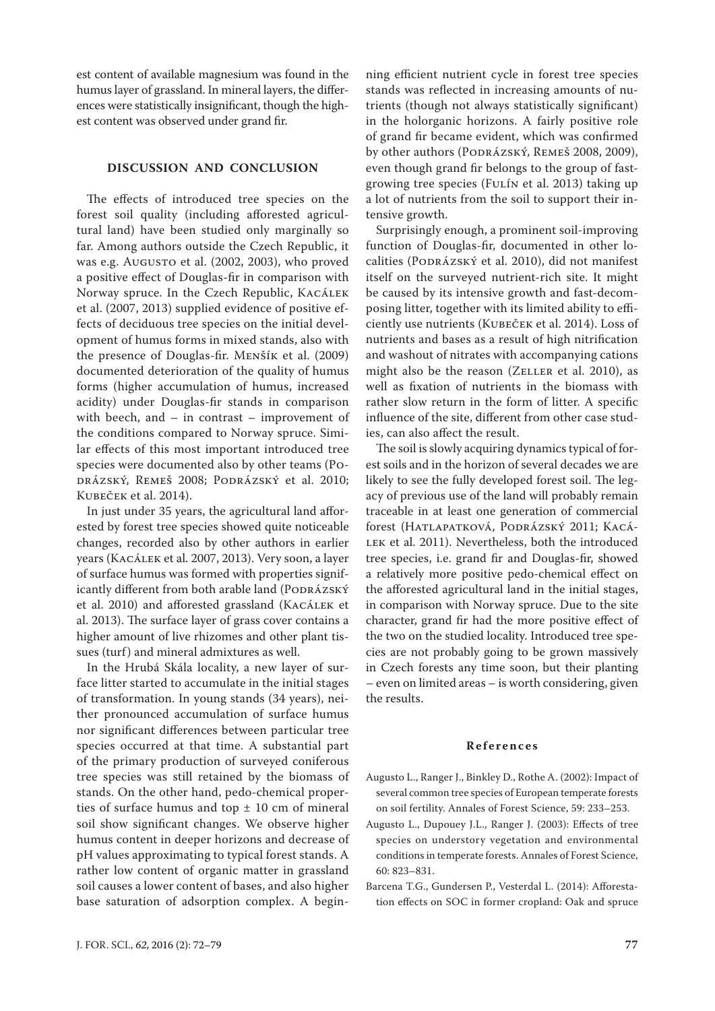est content of available magnesium was found in the humus layer of grassland. In mineral layers, the differences were statistically insignificant, though the highest content was observed under grand fir.

#### **DISCUSSION AND CONCLUSION**

The effects of introduced tree species on the forest soil quality (including afforested agricultural land) have been studied only marginally so far. Among authors outside the Czech Republic, it was e.g. Augusto et al. (2002, 2003), who proved a positive effect of Douglas-fir in comparison with Norway spruce. In the Czech Republic, Kacálek et al. (2007, 2013) supplied evidence of positive effects of deciduous tree species on the initial development of humus forms in mixed stands, also with the presence of Douglas-fir. Menšík et al. (2009) documented deterioration of the quality of humus forms (higher accumulation of humus, increased acidity) under Douglas-fir stands in comparison with beech, and – in contrast – improvement of the conditions compared to Norway spruce. Similar effects of this most important introduced tree species were documented also by other teams (Podrázský, Remeš 2008; Podrázský et al. 2010; Kubeček et al. 2014).

In just under 35 years, the agricultural land afforested by forest tree species showed quite noticeable changes, recorded also by other authors in earlier years (Kacálek et al. 2007, 2013). Very soon, a layer of surface humus was formed with properties significantly different from both arable land (PODRÁZSKÝ et al. 2010) and afforested grassland (Kacálek et al. 2013). The surface layer of grass cover contains a higher amount of live rhizomes and other plant tissues (turf) and mineral admixtures as well.

In the Hrubá Skála locality, a new layer of surface litter started to accumulate in the initial stages of transformation. In young stands (34 years), neither pronounced accumulation of surface humus nor significant differences between particular tree species occurred at that time. A substantial part of the primary production of surveyed coniferous tree species was still retained by the biomass of stands. On the other hand, pedo-chemical properties of surface humus and top  $\pm$  10 cm of mineral soil show significant changes. We observe higher humus content in deeper horizons and decrease of pH values approximating to typical forest stands. A rather low content of organic matter in grassland soil causes a lower content of bases, and also higher base saturation of adsorption complex. A begin-

ning efficient nutrient cycle in forest tree species stands was reflected in increasing amounts of nutrients (though not always statistically significant) in the holorganic horizons. A fairly positive role of grand fir became evident, which was confirmed by other authors (PODRÁZSKÝ, REMEŠ 2008, 2009), even though grand fir belongs to the group of fastgrowing tree species (Fulín et al. 2013) taking up a lot of nutrients from the soil to support their intensive growth.

Surprisingly enough, a prominent soil-improving function of Douglas-fir, documented in other localities (PODRÁZSKÝ et al. 2010), did not manifest itself on the surveyed nutrient-rich site. It might be caused by its intensive growth and fast-decomposing litter, together with its limited ability to efficiently use nutrients (Kubeček et al. 2014). Loss of nutrients and bases as a result of high nitrification and washout of nitrates with accompanying cations might also be the reason (ZELLER et al. 2010), as well as fixation of nutrients in the biomass with rather slow return in the form of litter. A specific influence of the site, different from other case studies, can also affect the result.

The soil is slowly acquiring dynamics typical of forest soils and in the horizon of several decades we are likely to see the fully developed forest soil. The legacy of previous use of the land will probably remain traceable in at least one generation of commercial forest (Hatlapatková, Podrázský 2011; Kacá-LEK et al. 2011). Nevertheless, both the introduced tree species, i.e. grand fir and Douglas-fir, showed a relatively more positive pedo-chemical effect on the afforested agricultural land in the initial stages, in comparison with Norway spruce. Due to the site character, grand fir had the more positive effect of the two on the studied locality. Introduced tree species are not probably going to be grown massively in Czech forests any time soon, but their planting – even on limited areas – is worth considering, given the results.

#### **References**

- Augusto L., Ranger J., Binkley D., Rothe A. (2002): Impact of several common tree species of European temperate forests on soil fertility. Annales of Forest Science, 59: 233–253.
- Augusto L., Dupouey J.L., Ranger J. (2003): Effects of tree species on understory vegetation and environmental conditions in temperate forests. Annales of Forest Science, 60: 823–831.
- Barcena T.G., Gundersen P., Vesterdal L. (2014): Afforestation effects on SOC in former cropland: Oak and spruce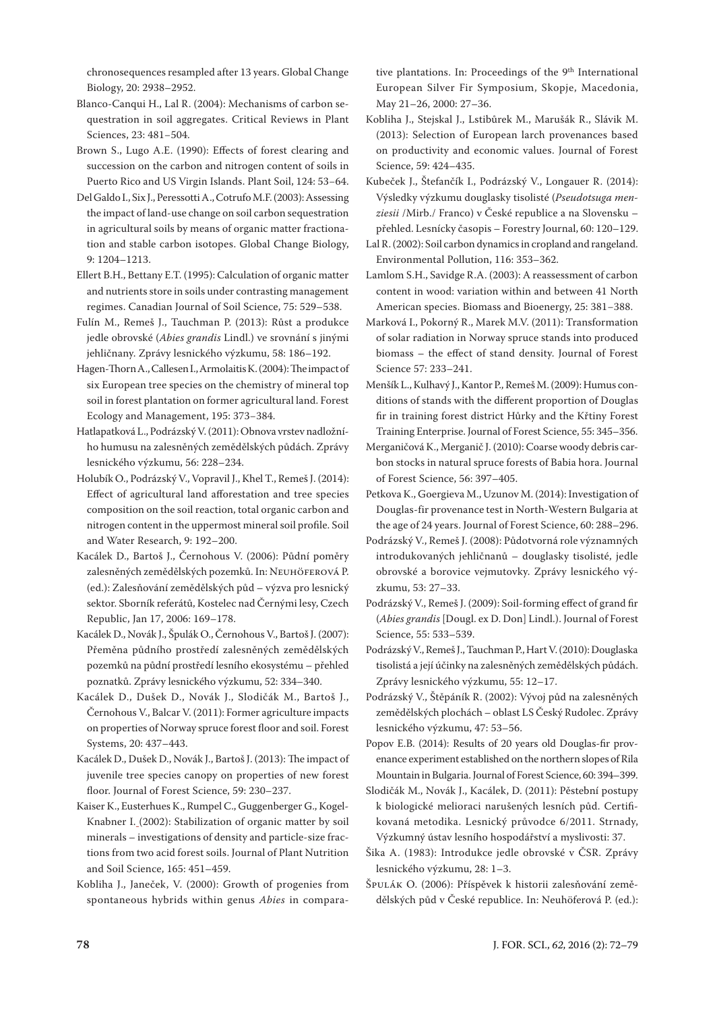chronosequences resampled after 13 years. Global Change Biology, 20: 2938–2952.

Blanco-Canqui H., Lal R. (2004): Mechanisms of carbon sequestration in soil aggregates. Critical Reviews in Plant Sciences, 23: 481−504.

Brown S., Lugo A.E. (1990): Effects of forest clearing and succession on the carbon and nitrogen content of soils in Puerto Rico and US Virgin Islands. Plant Soil, 124: 53−64.

Del Galdo I., Six J., Peressotti A., Cotrufo M.F. (2003): Assessing the impact of land-use change on soil carbon sequestration in agricultural soils by means of organic matter fractionation and stable carbon isotopes. Global Change Biology, 9: 1204–1213.

Ellert B.H., Bettany E.T. (1995): Calculation of organic matter and nutrients store in soils under contrasting management regimes. Canadian Journal of Soil Science, 75: 529–538.

Fulín M., Remeš J., Tauchman P. (2013): Růst a produkce jedle obrovské (*Abies grandis* Lindl.) ve srovnání s jinými jehličnany. Zprávy lesnického výzkumu, 58: 186–192.

Hagen-Thorn A., Callesen I., Armolaitis K. (2004): The impact of six European tree species on the chemistry of mineral top soil in forest plantation on former agricultural land. Forest Ecology and Management, 195: 373−384.

Hatlapatková L., Podrázský V. (2011): Obnova vrstev nadložního humusu na zalesněných zemědělských půdách. Zprávy lesnického výzkumu, 56: 228–234.

Holubík O., Podrázský V., Vopravil J., Khel T., Remeš J. (2014): Effect of agricultural land afforestation and tree species composition on the soil reaction, total organic carbon and nitrogen content in the uppermost mineral soil profile. Soil and Water Research, 9: 192–200.

Kacálek D., Bartoš J., Černohous V. (2006): Půdní poměry zalesněných zemědělských pozemků. In: Neuhöferová P. (ed.): Zalesňování zemědělských půd – výzva pro lesnický sektor. Sborník referátů, Kostelec nad Černými lesy, Czech Republic, Jan 17, 2006: 169–178.

Kacálek D., Novák J., Špulák O., Černohous V., Bartoš J. (2007): Přeměna půdního prostředí zalesněných zemědělských pozemků na půdní prostředí lesního ekosystému – přehled poznatků. Zprávy lesnického výzkumu, 52: 334–340.

Kacálek D., Dušek D., Novák J., Slodičák M., Bartoš J., Černohous V., Balcar V. (2011): Former agriculture impacts on properties of Norway spruce forest floor and soil. Forest Systems, 20: 437–443.

Kacálek D., Dušek D., Novák J., Bartoš J. (2013): The impact of juvenile tree species canopy on properties of new forest floor. Journal of Forest Science, 59: 230–237.

Kaiser K., Eusterhues K., Rumpel C., Guggenberger G., Kogel-Knabner I. (2002): Stabilization of organic matter by soil minerals – investigations of density and particle-size fractions from two acid forest soils. Journal of Plant Nutrition and Soil Science, 165: 451–459.

Kobliha J., Janeček, V. (2000): Growth of progenies from spontaneous hybrids within genus *Abies* in comparative plantations. In: Proceedings of the 9<sup>th</sup> International European Silver Fir Symposium, Skopje, Macedonia, May 21–26, 2000: 27–36.

Kobliha J., Stejskal J., Lstibůrek M., Marušák R., Slávik M. (2013): Selection of European larch provenances based on productivity and economic values. Journal of Forest Science, 59: 424–435.

Kubeček J., Štefančík I., Podrázský V., Longauer R. (2014): Výsledky výzkumu douglasky tisolisté (*Pseudotsuga menziesii* /Mirb./ Franco) v České republice a na Slovensku – přehled. Lesnícky časopis – Forestry Journal, 60: 120–129.

Lal R. (2002): Soil carbon dynamics in cropland and rangeland. Environmental Pollution, 116: 353–362.

Lamlom S.H., Savidge R.A. (2003): A reassessment of carbon content in wood: variation within and between 41 North American species. Biomass and Bioenergy, 25: 381−388.

Marková I., Pokorný R., Marek M.V. (2011): Transformation of solar radiation in Norway spruce stands into produced biomass – the effect of stand density. Journal of Forest Science 57: 233–241.

Menšík L., Kulhavý J., Kantor P., Remeš M. (2009): Humus conditions of stands with the different proportion of Douglas fir in training forest district Hůrky and the Křtiny Forest Training Enterprise. Journal of Forest Science, 55: 345–356.

Merganičová K., Merganič J. (2010): Coarse woody debris carbon stocks in natural spruce forests of Babia hora. Journal of Forest Science, 56: 397–405.

Petkova K., Goergieva M., Uzunov M. (2014): Investigation of Douglas-fir provenance test in North-Western Bulgaria at the age of 24 years. Journal of Forest Science, 60: 288–296.

Podrázský V., Remeš J. (2008): Půdotvorná role významných introdukovaných jehličnanů – douglasky tisolisté, jedle obrovské a borovice vejmutovky. Zprávy lesnického výzkumu, 53: 27–33.

Podrázský V., Remeš J. (2009): Soil-forming effect of grand fir (*Abies grandis* [Dougl. ex D. Don] Lindl.). Journal of Forest Science, 55: 533–539.

Podrázský V., Remeš J., Tauchman P., Hart V. (2010): Douglaska tisolistá a její účinky na zalesněných zemědělských půdách. Zprávy lesnického výzkumu, 55: 12–17.

Podrázský V., Štěpáník R. (2002): Vývoj půd na zalesněných zemědělských plochách – oblast LS Český Rudolec. Zprávy lesnického výzkumu, 47: 53–56.

Popov E.B. (2014): Results of 20 years old Douglas-fir provenance experiment established on the northern slopes of Rila Mountain in Bulgaria. Journal of Forest Science, 60: 394–399.

Slodičák M., Novák J., Kacálek, D. (2011): Pěstební postupy k biologické melioraci narušených lesních půd. Certifikovaná metodika. Lesnický průvodce 6/2011. Strnady, Výzkumný ústav lesního hospodářství a myslivosti: 37.

Šika A. (1983): Introdukce jedle obrovské v ČSR. Zprávy lesnického výzkumu, 28: 1–3.

Špulák O. (2006): Příspěvek k historii zalesňování zemědělských půd v České republice. In: Neuhöferová P. (ed.):